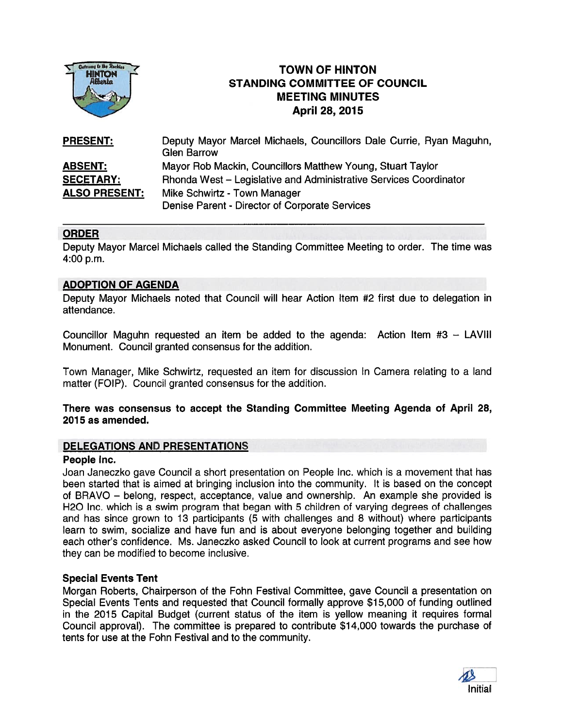

# TOWN OF HINTON STANDING COMMITTEE OF COUNCIL MEETING MINUTES April 28, 2015

| <b>PRESENT:</b>      | Deputy Mayor Marcel Michaels, Councillors Dale Currie, Ryan Maguhn,<br><b>Glen Barrow</b> |
|----------------------|-------------------------------------------------------------------------------------------|
| <b>ABSENT:</b>       | Mayor Rob Mackin, Councillors Matthew Young, Stuart Taylor                                |
| <b>SECETARY:</b>     | Rhonda West - Legislative and Administrative Services Coordinator                         |
| <b>ALSO PRESENT:</b> | Mike Schwirtz - Town Manager                                                              |
|                      | Denise Parent - Director of Corporate Services                                            |

## ORDER

Deputy Mayor Marcel Michaels called the Standing Committee Meeting to order. The time was 4:00 p.m.

## ADOPTION OF AGENDA

Deputy Mayor Michaels noted that Council will hear Action Item #2 first due to delegation in attendance.

Councillor Maguhn requested an item be added to the agenda: Action Item #3 — LAVIII Monument. Council granted consensus for the addition.

Town Manager, Mike Schwirtz, requested an item for discussion In Camera relating to <sup>a</sup> land matter (FOIP). Council granted consensus for the addition.

#### There was consensus to accep<sup>t</sup> the Standing Committee Meeting Agenda of April 28, 2015 as amended.

## DELEGATIONS AND PRESENTATIONS

## People Inc.

Joan Janeczko gave Council <sup>a</sup> short presentation on People Inc. which is <sup>a</sup> movement that has been started that is aimed at bringing inclusion into the community. It is based on the concep<sup>t</sup> of BRAVO — belong, respect, acceptance, value and ownership. An example she provided is H20 Inc. which is <sup>a</sup> swim program that began with 5 children of varying degrees of challenges and has since grown to 13 participants (5 with challenges and 8 without) where participants learn to swim, socialize and have fun and is about everyone belonging together and building each other's confidence. Ms. Janeczko asked Council to look at current programs and see how they can be modified to become inclusive.

## Special Events Tent

Morgan Roberts, Chairperson of the Fohn Festival Committee, gave Council <sup>a</sup> presentation on Special Events Tents and requested that Council formally approve \$15,000 of funding outlined in the 2015 Capital Budget (current status of the item is yellow meaning it requires formal Council approval). The committee is prepared to contribute \$14,000 towards the purchase of tents for use at the Fohn Festival and to the community.

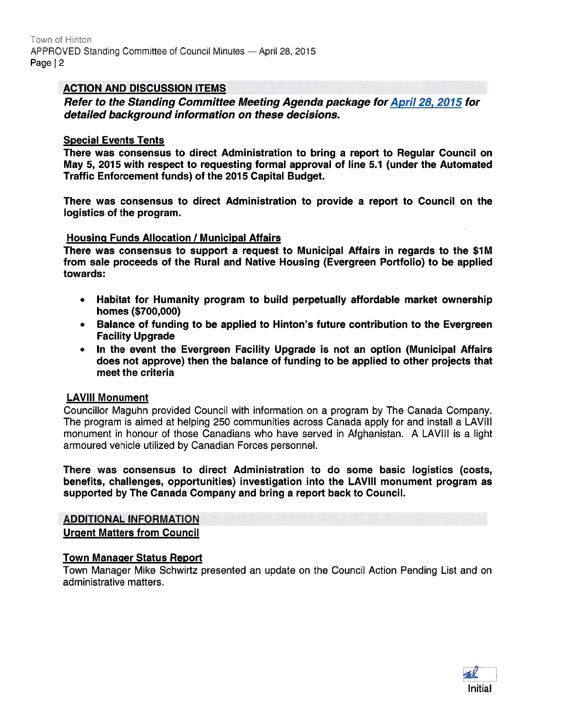### ACTION AND DISCUSSION ITEMS

Refer to the Standing Committee Meeting Agenda package for April 28, 2075 for detailed background information on these decisions.

#### Special Events Tents

There was consensus to direct Administration to bring <sup>a</sup> repor<sup>t</sup> to Regular Council on May 5, 2075 with respec<sup>t</sup> to requesting formal approval of line 5.1 (under the Automated Traffic Enforcement funds) of the 2075 Capital Budget.

There was consensus to direct Administration to provide <sup>a</sup> repor<sup>t</sup> to Council on the logistics of the program.

#### Housing Funds Allocation / Municipal Affairs

There was consensus to suppor<sup>t</sup> <sup>a</sup> reques<sup>t</sup> to Municipal Affairs in regards to the \$1M from sale proceeds of the Rural and Native Housing (Evergreen Portfolio) to be applied towards:

- Habitat for Humanity program to build perpetually affordable market ownership homes (\$700,000)
- Balance of funding to be applied to Hinton's future contribution to the Evergreen Facility Upgrade
- • In the event the Evergreen Facility Upgrade is not an option (Municipal Affairs does not approve) then the balance of funding to be applied to other projects that meet the criteria

#### LAVIII Monument

Councillor Maguhn provided Council with information on <sup>a</sup> program by The Canada Company. The program is aimed at helping 250 communities across Canada apply for and install <sup>a</sup> LAVIII monument in honour of those Canadians who have served in Afghanistan. A LAVIII is <sup>a</sup> light armoured vehicle utilized by Canadian Forces personnel.

There was consensus to direct Administration to do some basic logistics (costs, benefits, challenges, opportunities) investigation into the LAVIII monument program as supported by The Canada Company and bring <sup>a</sup> repor<sup>t</sup> back to Council.

# ADDITIONAL INFORMATION

Urgent Matters from Council

#### Town Manager Status Report

Town Manager Mike Schwirtz presented an update on the Council Action Pending List and on administrative matters.

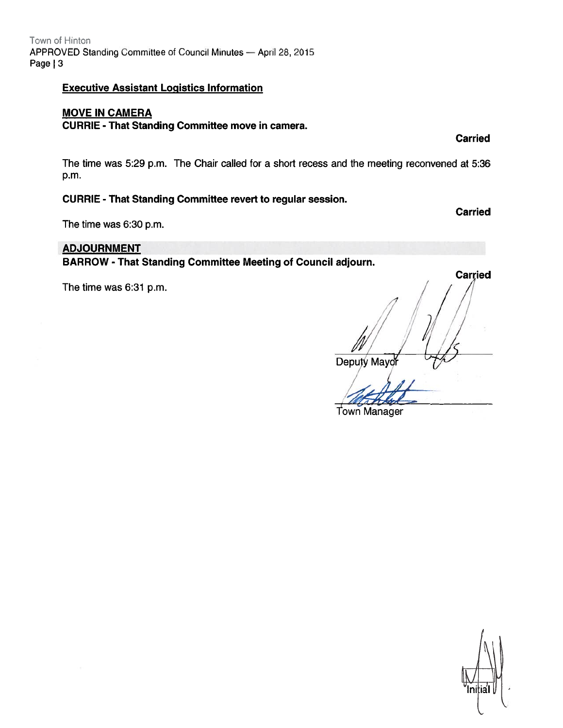## Executive Assistant Logistics Information

# MOVE IN CAMERA

## CURRIE -That Standing Committee move in camera.

The time was 5:29 p.m. The Chair called for <sup>a</sup> short recess and the meeting reconvened at 5:36 p.m.

## CURRIE - That Standing Committee revert to regular session.

The time was 6:30 p.m.

## ADJOURNMENT

BARROW - That Standing Committee Meeting of Council adjourn.

The time was  $6:31$  p.m.

Carried Deputy Mayor  $\frac{1}{10}$ 

Town Manager



**Carried** 

Carried